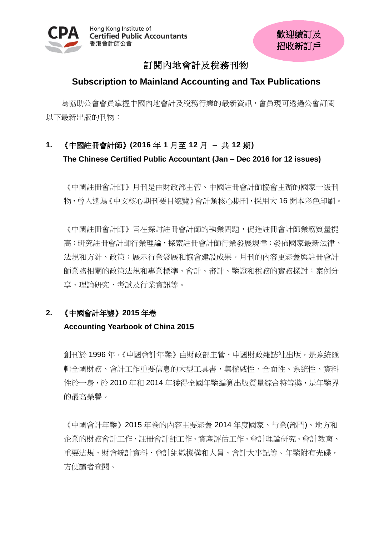

# 訂閱內地會計及稅務刊物

## **Subscription to Mainland Accounting and Tax Publications**

為協助公會會員掌握中國內地會計及稅務行業的最新資訊,會員現可透過公會訂閱 以下最新出版的刊物:

# **1.** 《中國註冊會計師》**(2016** 年 **1** 月至 **12** 月 **–** 共 **12** 期**) The Chinese Certified Public Accountant (Jan – Dec 2016 for 12 issues)**

《中國註冊會計師》月刊是由財政部主管、中國註冊會計師協會主辦的國家一級刊 物,曾入選為《中文核心期刊要目總覽》會計類核心期刊,採用大 16 開本彩色印刷。

《中國註冊會計師》旨在探討註冊會計師的執業問題,促進註冊會計師業務質量提 高;研究註冊會計師行業理論,探索註冊會計師行業發展規律;發佈國家最新法律、 法規和方針、政策;展示行業發展和協會建設成果。月刊的內容更涵蓋與註冊會計 師業務相關的政策法規和專業標準、會計、審計、鑒證和稅務的實務探討;案例分 享、理論研究、考試及行業資訊等。

## **2.** 《中國會計年鑒》**2015** 年卷

## **Accounting Yearbook of China 2015**

創刊於 1996 年,《中國會計年鑒》由財政部主管、中國財政雜誌社出版,是系統匯 輯全國財務、會計工作重要信息的大型工具書,集權威性、全面性、系統性、資料 性於一身,於 2010 年和 2014 年獲得全國年鑒編纂出版質量綜合特等獎,是年鑒界 的最高榮譽。

《中國會計年鑒》2015 年卷的內容主要涵蓋 2014 年度國家、行業(部門)、地方和 企業的財務會計工作、註冊會計師工作、資產評估工作、會計理論研究、會計教育、 重要法規、財會統計資料、會計組織機構和人員、會計大事記等。年鑒附有光碟, 方便讀者查閱。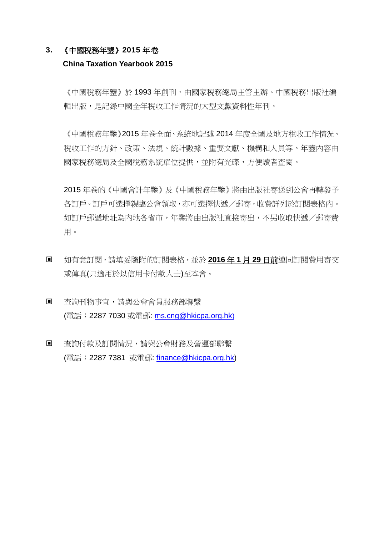### **3.** 《中國稅務年鑒》**2015** 年卷

### **China Taxation Yearbook 2015**

《中國稅務年鑒》於 1993 年創刊,由國家稅務總局主管主辦、中國稅務出版社編 輯出版,是記錄中國全年稅收工作情況的大型文獻資料性年刊。

《中國稅務年鑒》2015 年卷全面、系統地記述 2014 年度全國及地方稅收工作情況、 稅收工作的方針、政策、法規、統計數據、重要文獻、機構和人員等。年鑒內容由 國家稅務總局及全國稅務系統單位提供,並附有光碟,方便讀者查閱。

2015 年卷的《中國會計年鑒》及《中國稅務年鑒》將由出版社寄送到公會再轉發予 各訂戶。訂戶可選擇親臨公會領取,亦可選擇快遞/郵寄,收費詳列於訂閱表格內。 如訂戶郵遞地址為內地各省市,年鑒將由出版社直接寄出,不另收取快遞/郵寄費 用。

- 如有意訂閱,請填妥隨附的訂閱表格,並於 **2016** 年 **1** 月 **29** 日前連同訂閱費用寄交 或傳真(只適用於以信用卡付款人士)至本會。
- 查詢刊物事宜,請與公會會員服務部聯繫 (電話:2287 7030 或電郵: [ms.cng@hkicpa.org.hk](mailto:ms.cng@hkicpa.org.hk))
- 查詢付款及訂閱情況,請與公會財務及營運部聯繫 (電話:2287 7381 或電郵: [finance@hkicpa.org.hk\)](mailto:mcs.scm@hkicpa.org.hk)